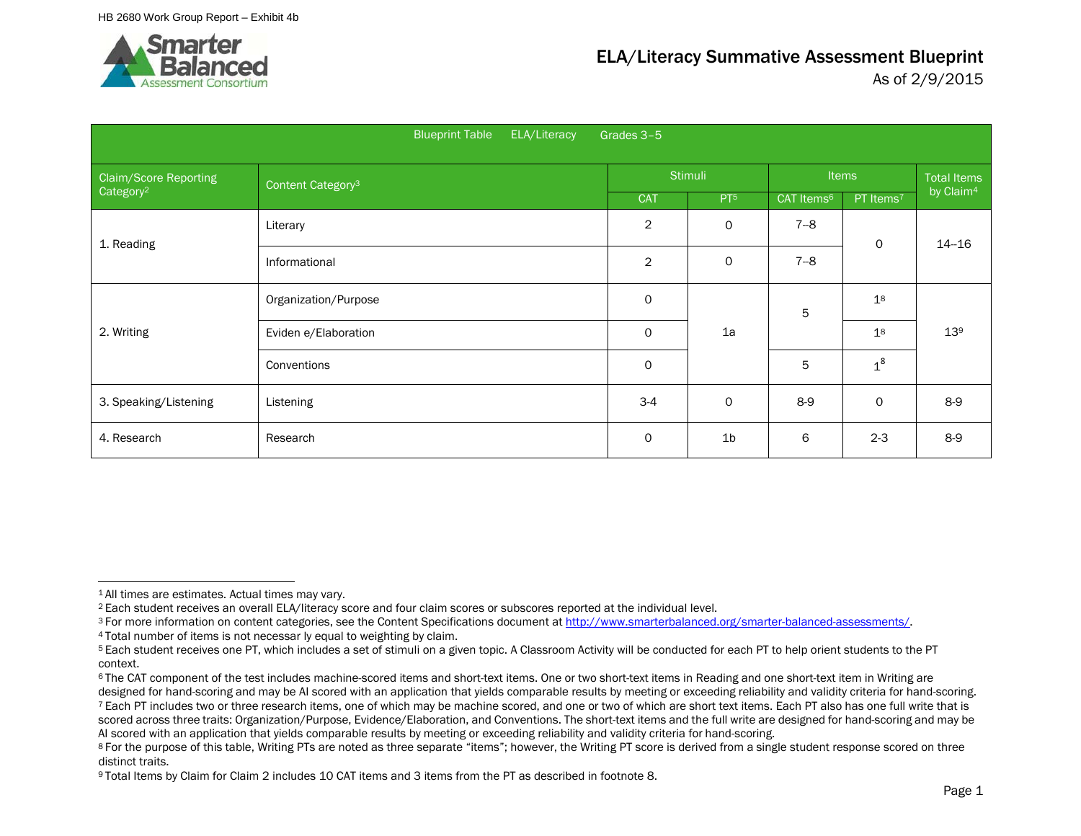

|                              | ELA/Literacy<br><b>Blueprint Table</b> | Grades 3-5     |                 |                        |                       |                       |
|------------------------------|----------------------------------------|----------------|-----------------|------------------------|-----------------------|-----------------------|
| <b>Claim/Score Reporting</b> | Content Category <sup>3</sup>          |                | <b>Stimuli</b>  |                        | <b>Items</b>          | <b>Total Items</b>    |
| Category <sup>2</sup>        |                                        | <b>CAT</b>     | PT <sup>5</sup> | CAT Items <sup>6</sup> | PT Items <sup>7</sup> | by Claim <sup>4</sup> |
| 1. Reading                   | Literary                               | $\overline{c}$ | 0               | $7 - 8$                | $\circ$               | $14 - 16$             |
|                              | Informational                          | $\overline{2}$ | 0               | $7 - 8$                |                       |                       |
|                              | Organization/Purpose                   | 0              |                 | 5                      | 1 <sup>8</sup>        |                       |
| 2. Writing                   | Eviden e/Elaboration                   | $\mathsf{O}$   | 1a              |                        | 1 <sup>8</sup>        | 13 <sup>9</sup>       |
|                              | Conventions                            | $\circ$        |                 | 5                      | $1^8$                 |                       |
| 3. Speaking/Listening        | Listening                              | $3-4$          | 0               | $8-9$                  | $\circ$               | $8-9$                 |
| 4. Research                  | Research                               | $\circ$        | 1 <sub>b</sub>  | 6                      | $2 - 3$               | $8-9$                 |

<sup>1</sup> All times are estimates. Actual times may vary.

<sup>2</sup> Each student receives an overall ELA/literacy score and four claim scores or subscores reported at the individual level.

<sup>&</sup>lt;sup>3</sup> For more information on content categories, see the Content Specifications document at http://www.smarterbalanced.org/smarter-balanced-assessments/.<br><sup>4</sup> Total number of items is not necessar ly equal to weighting by cl

<sup>5</sup> Each student receives one PT, which includes a set of stimuli on a given topic. A Classroom Activity will be conducted for each PT to help orient students to the PT context.<br><sup>6</sup> The CAT component of the test includes machine-scored items and short-text items. One or two short-text items in Reading and one short-text item in Writing are

designed for hand-scoring and may be AI scored with an application that yields comparable results by meeting or exceeding reliability and validity criteria for hand-scoring. <sup>7</sup> Each PT includes two or three research items, one of which may be machine scored, and one or two of which are short text items. Each PT also has one full write that is scored across three traits: Organization/Purpose, Evidence/Elaboration, and Conventions. The short-text items and the full write are designed for hand-scoring and may be AI scored with an application that yields comparable results by meeting or exceeding reliability and validity criteria for hand-scoring.

<sup>8</sup> For the purpose of this table, Writing PTs are noted as three separate "items"; however, the Writing PT score is derived from a single student response scored on three distinct traits.

<sup>9</sup> Total Items by Claim for Claim 2 includes 10 CAT items and 3 items from the PT as described in footnote 8.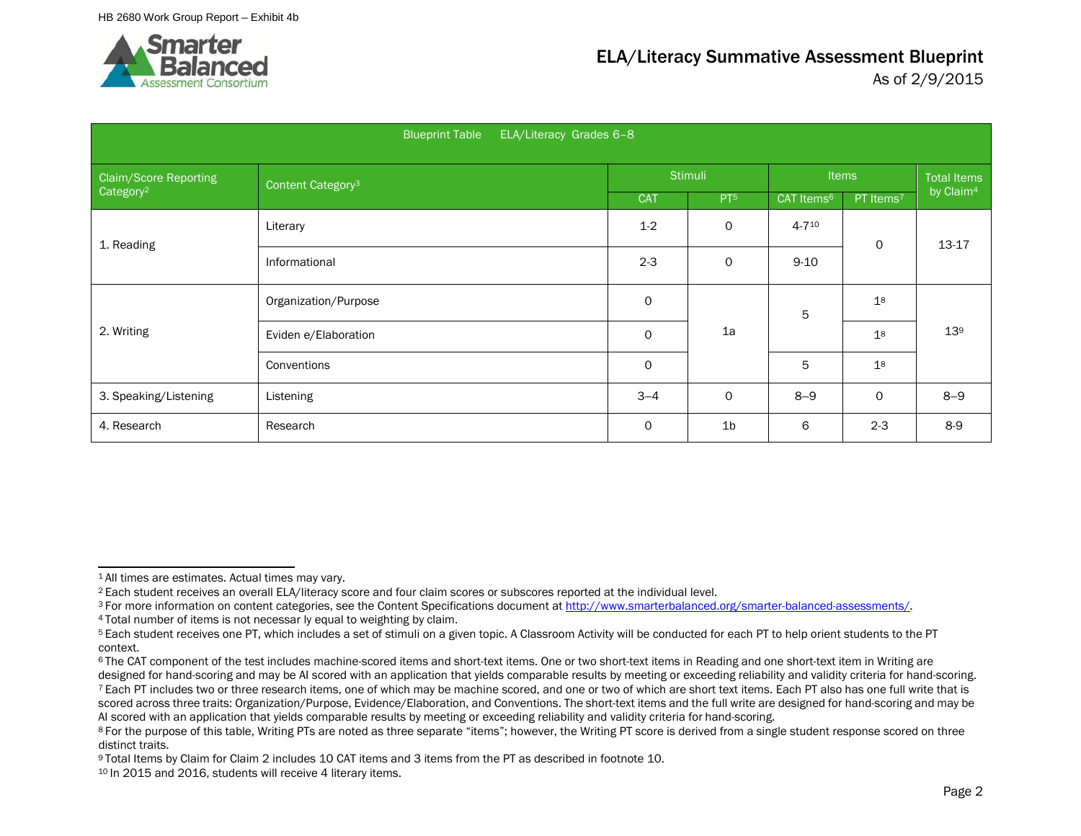

|                       | ELA/Literacy Grades 6-8<br><b>Blueprint Table</b> |             |                 |                        |                       |                       |
|-----------------------|---------------------------------------------------|-------------|-----------------|------------------------|-----------------------|-----------------------|
| Claim/Score Reporting | Content Category <sup>3</sup>                     |             | <b>Stimuli</b>  |                        | <b>Items</b>          | <b>Total Items</b>    |
| Category <sup>2</sup> |                                                   | <b>CAT</b>  | PT <sub>5</sub> | CAT Items <sup>6</sup> | PT Items <sup>7</sup> | by Claim <sup>4</sup> |
| 1. Reading            | Literary                                          | $1 - 2$     | 0               | 4-710                  | $\circ$               | 13-17                 |
|                       | Informational                                     | $2 - 3$     | 0               | $9 - 10$               |                       |                       |
|                       | Organization/Purpose                              | 0           |                 | 5                      | 1 <sup>8</sup>        |                       |
| 2. Writing            | Eviden e/Elaboration                              | $\mathbf 0$ | 1a              |                        | 1 <sup>8</sup>        | 13 <sup>9</sup>       |
|                       | Conventions                                       | $\mathbf 0$ |                 | 5                      | 1 <sup>8</sup>        |                       |
| 3. Speaking/Listening | Listening                                         | $3 - 4$     | 0               | $8 - 9$                | $\mathbf 0$           | $8 - 9$               |
| 4. Research           | Research                                          | 0           | 1 <sub>b</sub>  | 6                      | $2 - 3$               | $8-9$                 |

<sup>1</sup> All times are estimates. Actual times may vary.

<sup>2</sup> Each student receives an overall ELA/literacy score and four claim scores or subscores reported at the individual level.

<sup>&</sup>lt;sup>3</sup> For more information on content categories, see the Content Specifications document a[t http://www.smarterbalanced.org/smarter-balanced-assessments/.](http://www.smarterbalanced.org/smarter-balanced-assessments/)

<sup>4</sup> Total number of items is not necessar ly equal to weighting by claim.

<sup>5</sup> Each student receives one PT, which includes a set of stimuli on a given topic. A Classroom Activity will be conducted for each PT to help orient students to the PT context.

<sup>&</sup>lt;sup>6</sup> The CAT component of the test includes machine-scored items and short-text items. One or two short-text items in Reading and one short-text item in Writing are designed for hand-scoring and may be AI scored with an application that yields comparable results by meeting or exceeding reliability and validity criteria for hand-scoring. <sup>7</sup> Each PT includes two or three research items, one of which may be machine scored, and one or two of which are short text items. Each PT also has one full write that is scored across three traits: Organization/Purpose, Evidence/Elaboration, and Conventions. The short-text items and the full write are designed for hand-scoring and may be AI scored with an application that yields comparable results by meeting or exceeding reliability and validity criteria for hand-scoring.

<sup>&</sup>lt;sup>8</sup> For the purpose of this table, Writing PTs are noted as three separate "items"; however, the Writing PT score is derived from a single student response scored on three distinct traits.

<sup>9</sup> Total Items by Claim for Claim 2 includes 10 CAT items and 3 items from the PT as described in footnote 10.

<sup>10</sup> In 2015 and 2016, students will receive 4 literary items.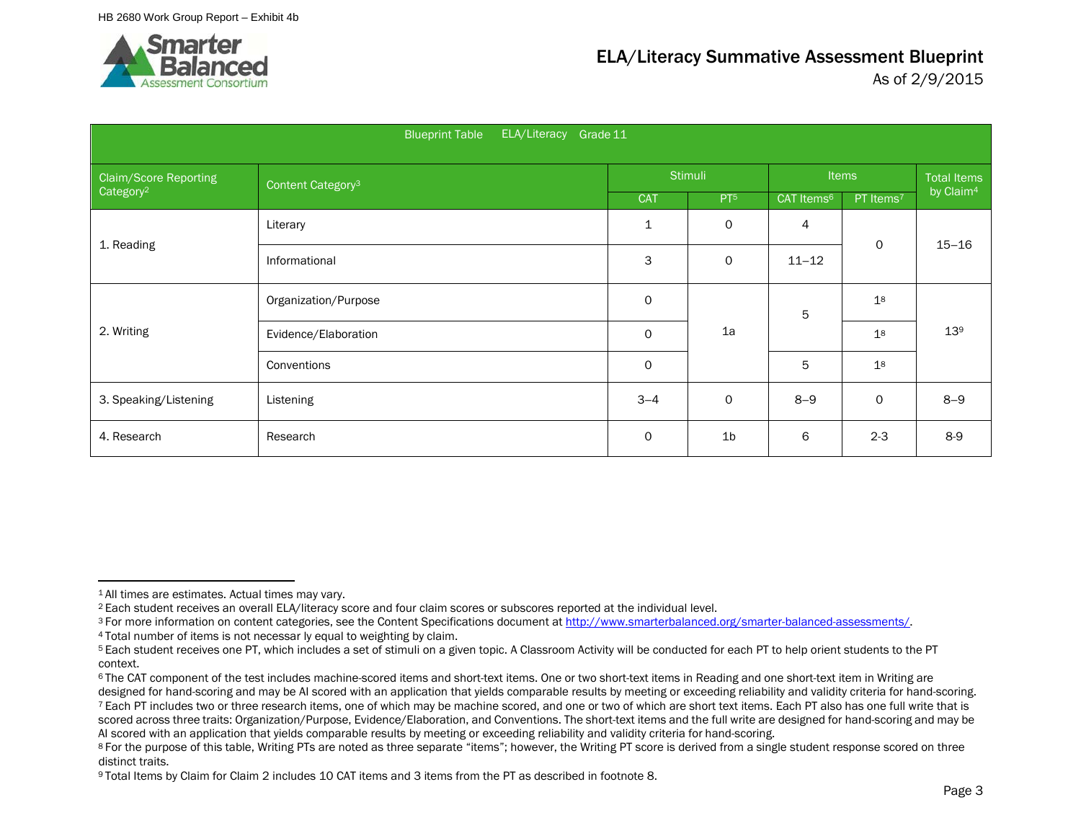

|                       | ELA/Literacy<br><b>Blueprint Table</b><br>Grade 11 |             |                 |                        |                       |                       |
|-----------------------|----------------------------------------------------|-------------|-----------------|------------------------|-----------------------|-----------------------|
| Claim/Score Reporting | Content Category <sup>3</sup>                      |             | <b>Stimuli</b>  |                        | <b>Items</b>          | <b>Total Items</b>    |
| Category <sup>2</sup> |                                                    | <b>CAT</b>  | PT <sup>5</sup> | CAT Items <sup>6</sup> | PT Items <sup>7</sup> | by Claim <sup>4</sup> |
|                       | Literary                                           | 1           | 0               | 4                      | $\mathsf{o}$          | $15 - 16$             |
| 1. Reading            | Informational                                      | 3           | 0               | $11 - 12$              |                       |                       |
|                       | Organization/Purpose                               | $\mathbf 0$ |                 | 5                      | 1 <sup>8</sup>        |                       |
| 2. Writing            | Evidence/Elaboration                               | 0           | 1a              |                        | 1 <sup>8</sup>        | 13 <sup>9</sup>       |
|                       | Conventions                                        | $\mathsf O$ |                 | 5                      | 1 <sup>8</sup>        |                       |
| 3. Speaking/Listening | Listening                                          | $3 - 4$     | 0               | $8 - 9$                | $\mathsf{O}$          | $8 - 9$               |
| 4. Research           | Research                                           | 0           | 1 <sub>b</sub>  | 6                      | $2 - 3$               | $8-9$                 |

<sup>1</sup> All times are estimates. Actual times may vary.

<sup>2</sup> Each student receives an overall ELA/literacy score and four claim scores or subscores reported at the individual level.

<sup>&</sup>lt;sup>3</sup> For more information on content categories, see the Content Specifications document at http://www.smarterbalanced.org/smarter-balanced-assessments/.<br><sup>4</sup> Total number of items is not necessar ly equal to weighting by cl

<sup>5</sup> Each student receives one PT, which includes a set of stimuli on a given topic. A Classroom Activity will be conducted for each PT to help orient students to the PT context.

<sup>&</sup>lt;sup>6</sup> The CAT component of the test includes machine-scored items and short-text items. One or two short-text items in Reading and one short-text item in Writing are designed for hand-scoring and may be AI scored with an application that yields comparable results by meeting or exceeding reliability and validity criteria for hand-scoring. <sup>7</sup> Each PT includes two or three research items, one of which may be machine scored, and one or two of which are short text items. Each PT also has one full write that is scored across three traits: Organization/Purpose, Evidence/Elaboration, and Conventions. The short-text items and the full write are designed for hand-scoring and may be AI scored with an application that yields comparable results by meeting or exceeding reliability and validity criteria for hand-scoring.

<sup>8</sup> For the purpose of this table, Writing PTs are noted as three separate "items"; however, the Writing PT score is derived from a single student response scored on three distinct traits.

<sup>9</sup> Total Items by Claim for Claim 2 includes 10 CAT items and 3 items from the PT as described in footnote 8.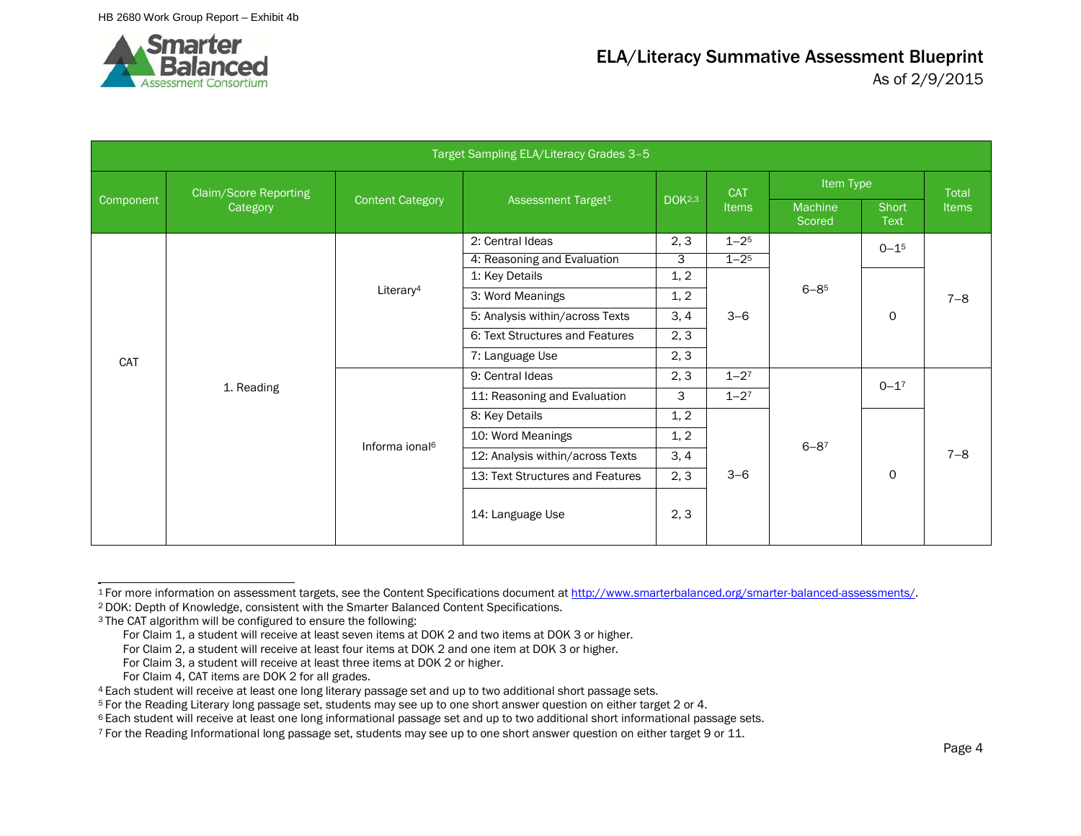

|           |                              |                            | Target Sampling ELA/Literacy Grades 3-5 |               |             |                   |                      |              |
|-----------|------------------------------|----------------------------|-----------------------------------------|---------------|-------------|-------------------|----------------------|--------------|
|           | <b>Claim/Score Reporting</b> |                            |                                         |               | <b>CAT</b>  | Item Type         |                      | Total        |
| Component | Category                     | <b>Content Category</b>    | Assessment Target <sup>1</sup>          | <b>DOK2,3</b> | Items       | Machine<br>Scored | Short<br><b>Text</b> | <b>Items</b> |
|           |                              |                            | 2: Central Ideas                        | 2, 3          | $1 - 25$    |                   | $0 - 1^{5}$          |              |
|           |                              |                            | 4: Reasoning and Evaluation             | 3             | $1 - 2^{5}$ |                   |                      |              |
|           |                              |                            | 1: Key Details                          | 1, 2          |             |                   |                      |              |
|           |                              | Literary <sup>4</sup>      | 3: Word Meanings                        | 1, 2          | $3 - 6$     | $6 - 85$          | $\Omega$             | $7 - 8$      |
|           |                              |                            | 5: Analysis within/across Texts         | 3, 4          |             |                   |                      |              |
|           |                              |                            | 6: Text Structures and Features         | 2, 3          |             |                   |                      |              |
| CAT       |                              |                            | 7: Language Use                         | 2, 3          |             |                   |                      |              |
|           |                              |                            | 9: Central Ideas                        | 2, 3          | $1 - 27$    |                   | $0 - 1^7$            |              |
|           | 1. Reading                   |                            | 11: Reasoning and Evaluation            | 3             | $1 - 27$    |                   |                      |              |
|           |                              |                            | 8: Key Details                          | 1, 2          |             |                   |                      |              |
|           |                              | Informa ional <sup>6</sup> | 10: Word Meanings                       | 1, 2          |             | $6 - 87$          |                      |              |
|           |                              |                            | 12: Analysis within/across Texts        | 3, 4          |             |                   |                      | $7 - 8$      |
|           |                              |                            | 13: Text Structures and Features        | 2, 3          | $3 - 6$     |                   | $\mathbf 0$          |              |
|           |                              |                            | 14: Language Use                        | 2, 3          |             |                   |                      |              |

<sup>1</sup> For more information on assessment targets, see the Content Specifications document a[t http://www.smarterbalanced.org/smarter-balanced-assessments/.](http://www.smarterbalanced.org/smarter-balanced-assessments/) 2 DOK: Depth of Knowledge, consistent with the Smarter Balanced Content Specifications.

For Claim 3, a student will receive at least three items at DOK 2 or higher.

<sup>3</sup> The CAT algorithm will be configured to ensure the following:

For Claim 1, a student will receive at least seven items at DOK 2 and two items at DOK 3 or higher.

For Claim 2, a student will receive at least four items at DOK 2 and one item at DOK 3 or higher.

For Claim 4, CAT items are DOK 2 for all grades.

<sup>4</sup> Each student will receive at least one long literary passage set and up to two additional short passage sets.

<sup>5</sup> For the Reading Literary long passage set, students may see up to one short answer question on either target 2 or 4.

<sup>6</sup> Each student will receive at least one long informational passage set and up to two additional short informational passage sets.

<sup>7</sup> For the Reading Informational long passage set, students may see up to one short answer question on either target 9 or 11.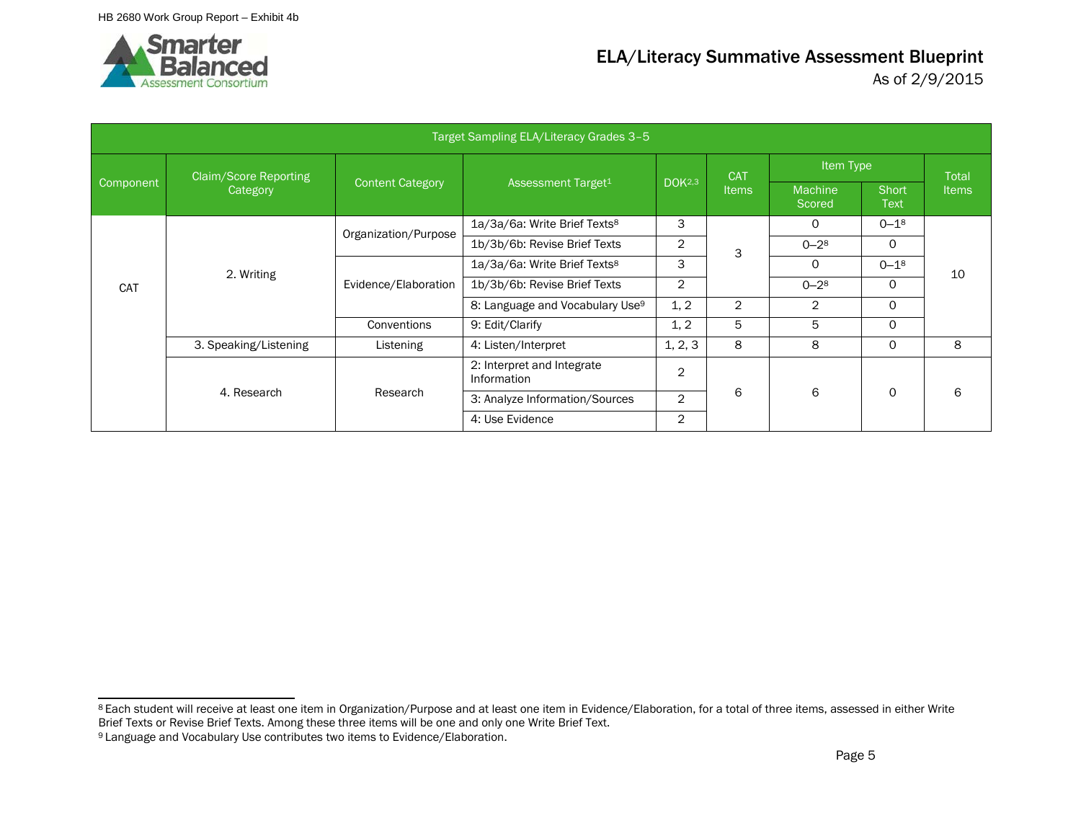

|                  |                       |                         | Target Sampling ELA/Literacy Grades 3-5     |                |                |                          |                      |              |
|------------------|-----------------------|-------------------------|---------------------------------------------|----------------|----------------|--------------------------|----------------------|--------------|
|                  | Claim/Score Reporting |                         |                                             |                | <b>CAT</b>     | Item Type                |                      | <b>Total</b> |
| <b>Component</b> | Category              | <b>Content Category</b> | Assessment Target <sup>1</sup>              | <b>DOK2,3</b>  | <b>Items</b>   | <b>Machine</b><br>Scored | Short<br><b>Text</b> | <b>Items</b> |
|                  |                       | Organization/Purpose    | 1a/3a/6a: Write Brief Texts <sup>8</sup>    | 3              |                | 0                        | $0 - 18$             |              |
|                  |                       |                         | 1b/3b/6b: Revise Brief Texts                | 2              | 3              | $0 - 28$                 | 0                    |              |
|                  |                       |                         | 1a/3a/6a: Write Brief Texts <sup>8</sup>    | 3              |                | $\Omega$                 | $0 - 18$             | 10           |
| <b>CAT</b>       | 2. Writing            | Evidence/Elaboration    | 1b/3b/6b: Revise Brief Texts                | $\overline{2}$ |                | $0 - 28$                 | $\Omega$             |              |
|                  |                       |                         | 8: Language and Vocabulary Use <sup>9</sup> | 1, 2           | $\overline{2}$ | 2                        | $\Omega$             |              |
|                  |                       | Conventions             | 9: Edit/Clarify                             | 1, 2           | 5              | 5                        | $\Omega$             |              |
|                  | 3. Speaking/Listening | Listening               | 4: Listen/Interpret                         | 1, 2, 3        | 8              | 8                        | 0                    | 8            |
|                  |                       |                         | 2: Interpret and Integrate<br>Information   | $\overline{2}$ |                |                          |                      |              |
|                  | 4. Research           | Research                | 3: Analyze Information/Sources              | $\overline{2}$ | 6              | 6                        | $\Omega$             | 6            |
|                  |                       |                         | 4: Use Evidence                             | $\overline{2}$ |                |                          |                      |              |

<sup>8</sup> Each student will receive at least one item in Organization/Purpose and at least one item in Evidence/Elaboration, for a total of three items, assessed in either Write Brief Texts or Revise Brief Texts. Among these three items will be one and only one Write Brief Text.

<sup>9</sup> Language and Vocabulary Use contributes two items to Evidence/Elaboration.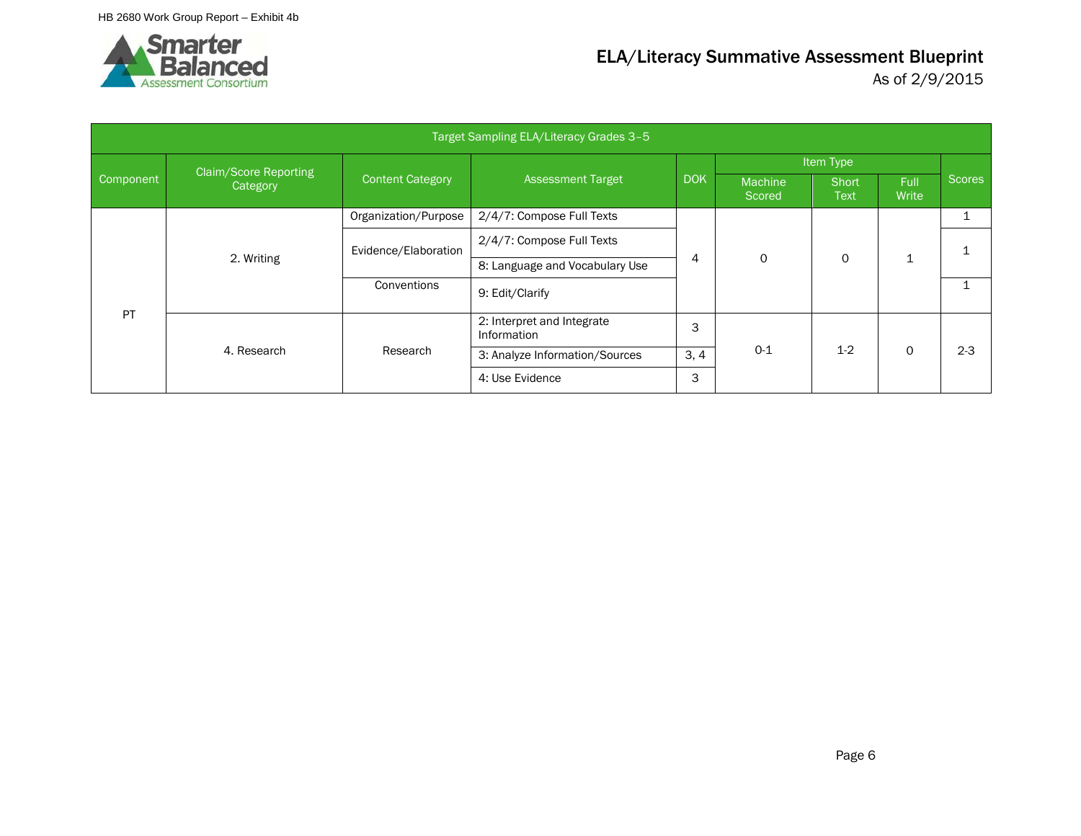

|           |                              |                         | Target Sampling ELA/Literacy Grades 3-5   |            |                          |                      |               |               |
|-----------|------------------------------|-------------------------|-------------------------------------------|------------|--------------------------|----------------------|---------------|---------------|
|           | <b>Claim/Score Reporting</b> |                         |                                           |            |                          | Item Type            |               |               |
| Component | Category                     | <b>Content Category</b> | <b>Assessment Target</b>                  | <b>DOK</b> | <b>Machine</b><br>Scored | Short<br><b>Text</b> | Full<br>Write | <b>Scores</b> |
|           |                              | Organization/Purpose    | 2/4/7: Compose Full Texts                 |            |                          |                      |               |               |
|           |                              | Evidence/Elaboration    | 2/4/7: Compose Full Texts                 |            |                          |                      |               |               |
|           | 2. Writing                   |                         | 8: Language and Vocabulary Use            | 4          | $\mathbf 0$              | 0                    | ┻             |               |
|           |                              | Conventions             | 9: Edit/Clarify                           |            |                          |                      |               |               |
| <b>PT</b> |                              |                         | 2: Interpret and Integrate<br>Information | 3          |                          |                      |               |               |
|           | 4. Research                  | Research                | 3: Analyze Information/Sources            | 3, 4       | $0 - 1$                  | $1-2$                | $\Omega$      | $2 - 3$       |
|           |                              |                         | 4: Use Evidence                           | 3          |                          |                      |               |               |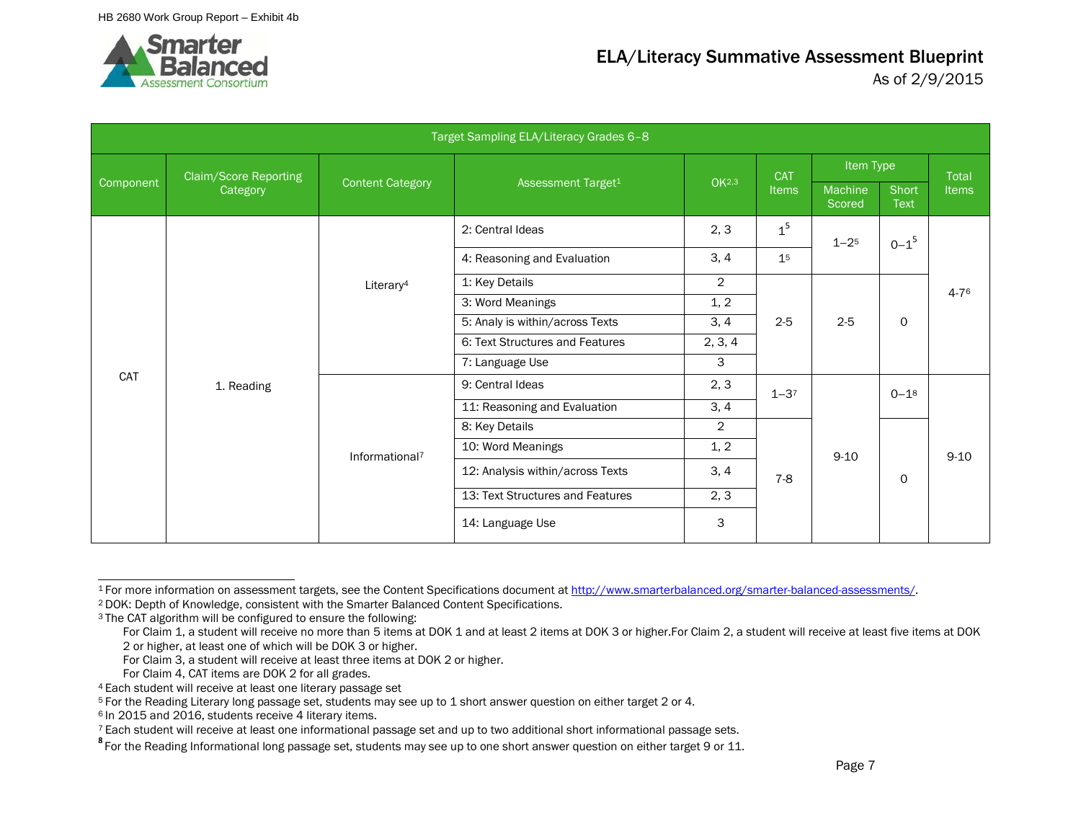

|           |                              |                                 | Target Sampling ELA/Literacy Grades 6-8 |                |                |                   |                      |              |
|-----------|------------------------------|---------------------------------|-----------------------------------------|----------------|----------------|-------------------|----------------------|--------------|
|           | <b>Claim/Score Reporting</b> |                                 |                                         | <b>CAT</b>     | Item Type      |                   | <b>Total</b>         |              |
| Component | Category                     | <b>Content Category</b>         | Assessment Target <sup>1</sup>          | <b>OK2,3</b>   | <b>Items</b>   | Machine<br>Scored | Short<br><b>Text</b> | <b>Items</b> |
|           |                              |                                 | 2: Central Ideas                        | 2, 3           | 1 <sup>5</sup> | $1 - 2^5$         | $0 - 1^5$            |              |
|           |                              |                                 | 4: Reasoning and Evaluation             | 3, 4           | 1 <sup>5</sup> |                   |                      |              |
|           |                              | Literary <sup>4</sup>           | 1: Key Details                          | $\overline{2}$ |                |                   |                      | 4-76         |
|           |                              |                                 | 3: Word Meanings                        | 1, 2           |                |                   |                      |              |
|           |                              | 5: Analy is within/across Texts | 3, 4                                    | $2 - 5$        | $2 - 5$        | $\mathsf{O}$      |                      |              |
|           |                              |                                 | 6: Text Structures and Features         | 2, 3, 4        |                |                   |                      |              |
|           |                              |                                 | 7: Language Use                         | 3              |                |                   |                      |              |
| CAT       | 1. Reading                   |                                 | 9: Central Ideas                        | 2, 3           | $1 - 3^7$      |                   | $0 - 1^8$            |              |
|           |                              |                                 | 11: Reasoning and Evaluation            | 3, 4           |                |                   |                      |              |
|           |                              |                                 | 8: Key Details                          | $\overline{2}$ |                |                   |                      |              |
|           |                              | Informational <sup>7</sup>      | 10: Word Meanings                       | 1, 2           |                | $9 - 10$          |                      | $9 - 10$     |
|           |                              |                                 | 12: Analysis within/across Texts        | 3, 4           | $7-8$          |                   | 0                    |              |
|           |                              |                                 | 13: Text Structures and Features        | 2, 3           |                |                   |                      |              |
|           |                              |                                 | 14: Language Use                        | 3              |                |                   |                      |              |

<sup>1</sup> For more information on assessment targets, see the Content Specifications document a[t http://www.smarterbalanced.org/smarter-balanced-assessments/.](http://www.smarterbalanced.org/smarter-balanced-assessments/)

<sup>2</sup> DOK: Depth of Knowledge, consistent with the Smarter Balanced Content Specifications.

<sup>&</sup>lt;sup>3</sup> The CAT algorithm will be configured to ensure the following:

For Claim 1, a student will receive no more than 5 items at DOK 1 and at least 2 items at DOK 3 or higher.For Claim 2, a student will receive at least five items at DOK 2 or higher, at least one of which will be DOK 3 or higher.

For Claim 3, a student will receive at least three items at DOK 2 or higher.

For Claim 4, CAT items are DOK 2 for all grades.

<sup>4</sup> Each student will receive at least one literary passage set

<sup>5</sup> For the Reading Literary long passage set, students may see up to 1 short answer question on either target 2 or 4.

<sup>6</sup> In 2015 and 2016, students receive 4 literary items.

<sup>7</sup> Each student will receive at least one informational passage set and up to two additional short informational passage sets.

**<sup>8</sup>**For the Reading Informational long passage set, students may see up to one short answer question on either target 9 or 11.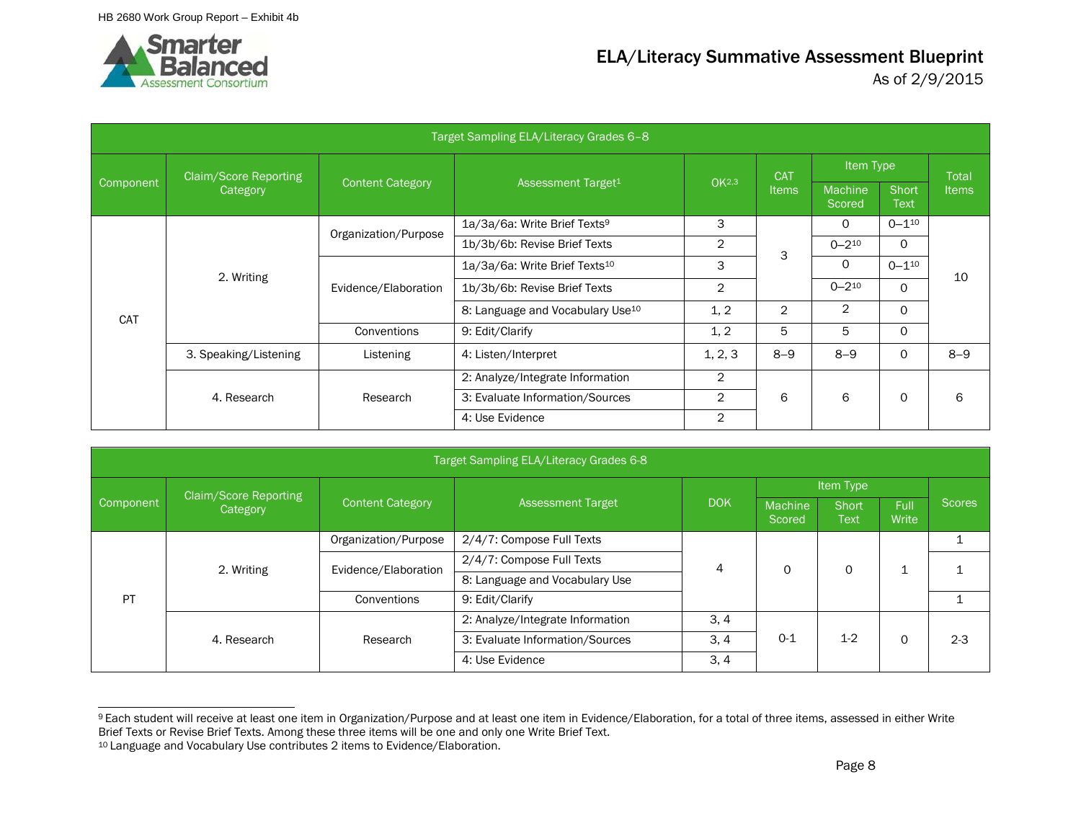

|            |                              |                         | Target Sampling ELA/Literacy Grades 6-8      |                   |                |                   |                      |              |
|------------|------------------------------|-------------------------|----------------------------------------------|-------------------|----------------|-------------------|----------------------|--------------|
|            | <b>Claim/Score Reporting</b> |                         |                                              |                   | <b>CAT</b>     | Item Type         |                      | Total        |
| Component  | Category                     | <b>Content Category</b> | Assessment Target <sup>1</sup>               | OK <sub>2,3</sub> | <b>Items</b>   | Machine<br>Scored | Short<br><b>Text</b> | <b>Items</b> |
|            |                              | Organization/Purpose    | 1a/3a/6a: Write Brief Texts <sup>9</sup>     | 3                 |                | $\Omega$          | $0 - 110$            |              |
|            |                              |                         | 1b/3b/6b: Revise Brief Texts                 | 2                 | 3              | $0 - 2^{10}$      | $\circ$              |              |
|            |                              |                         | 1a/3a/6a: Write Brief Texts <sup>10</sup>    | 3                 |                | 0                 | $0 - 110$            |              |
|            | 2. Writing                   | Evidence/Elaboration    | 1b/3b/6b: Revise Brief Texts                 | 2                 |                | $0 - 2^{10}$      | $\Omega$             | 10           |
| <b>CAT</b> |                              |                         | 8: Language and Vocabulary Use <sup>10</sup> | 1, 2              | $\overline{2}$ | $\overline{2}$    | $\Omega$             |              |
|            |                              | Conventions             | 9: Edit/Clarify                              | 1, 2              | 5              | 5                 | $\Omega$             |              |
|            | 3. Speaking/Listening        | Listening               | 4: Listen/Interpret                          | 1, 2, 3           | $8 - 9$        | $8 - 9$           | $\Omega$             | $8 - 9$      |
|            |                              |                         | 2: Analyze/Integrate Information             | 2                 |                |                   |                      |              |
|            | 4. Research                  | Research                | 3: Evaluate Information/Sources              | $\overline{2}$    | 6              | 6                 | $\Omega$             | 6            |
|            |                              |                         | 4: Use Evidence                              | $\overline{2}$    |                |                   |                      |              |

|           |                       |                         | Target Sampling ELA/Literacy Grades 6-8 |            |                          |                      |               |               |
|-----------|-----------------------|-------------------------|-----------------------------------------|------------|--------------------------|----------------------|---------------|---------------|
|           | Claim/Score Reporting |                         |                                         |            |                          | Item Type            |               |               |
| Component | Category              | <b>Content Category</b> | <b>Assessment Target</b>                | <b>DOK</b> | <b>Machine</b><br>Scored | Short<br><b>Text</b> | Full<br>Write | <b>Scores</b> |
|           |                       | Organization/Purpose    | 2/4/7: Compose Full Texts               |            |                          |                      |               |               |
|           | 2. Writing            | Evidence/Elaboration    | 2/4/7: Compose Full Texts               | 4          |                          | 0                    |               |               |
|           |                       |                         | 8: Language and Vocabulary Use          |            |                          |                      |               |               |
| PT        |                       | Conventions             | 9: Edit/Clarify                         |            |                          |                      |               |               |
|           |                       |                         | 2: Analyze/Integrate Information        | 3, 4       |                          |                      |               |               |
|           | 4. Research           | Research                | 3: Evaluate Information/Sources         | 3, 4       | $O-1$                    | $1 - 2$              | 0             | $2 - 3$       |
|           |                       |                         | 4: Use Evidence                         | 3, 4       |                          |                      |               |               |

<sup>9</sup> Each student will receive at least one item in Organization/Purpose and at least one item in Evidence/Elaboration, for a total of three items, assessed in either Write Brief Texts or Revise Brief Texts. Among these three items will be one and only one Write Brief Text.

<sup>10</sup> Language and Vocabulary Use contributes 2 items to Evidence/Elaboration.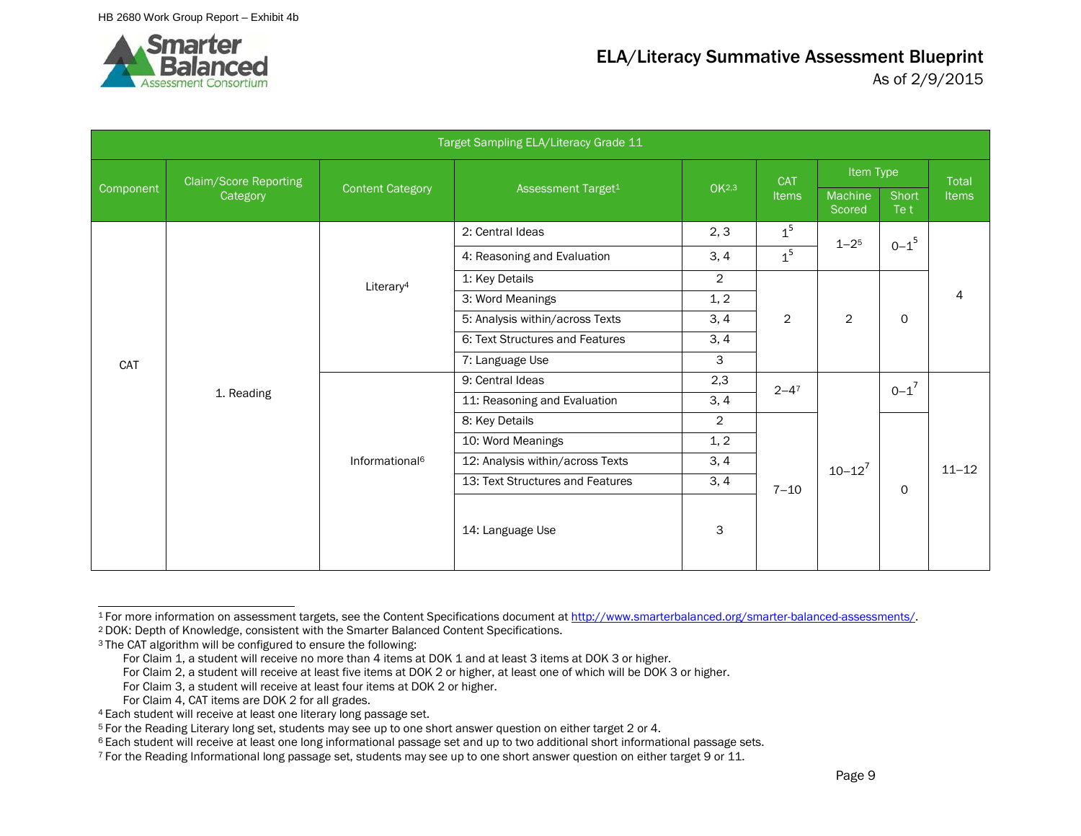

|           |                              |                            | Target Sampling ELA/Literacy Grade 11 |                   |                |                   |               |                |
|-----------|------------------------------|----------------------------|---------------------------------------|-------------------|----------------|-------------------|---------------|----------------|
|           | <b>Claim/Score Reporting</b> |                            |                                       |                   | <b>CAT</b>     | Item Type         |               | <b>Total</b>   |
| Component | Category                     | <b>Content Category</b>    | Assessment Target <sup>1</sup>        | OK <sub>2,3</sub> | Items          | Machine<br>Scored | Short<br>Te t | <b>Items</b>   |
|           |                              |                            | 2: Central Ideas                      | 2, 3              | 1 <sup>5</sup> | $1 - 25$          | $0 - 1^5$     |                |
|           |                              |                            | 4: Reasoning and Evaluation           | 3, 4              | 1 <sup>5</sup> |                   |               |                |
|           |                              | Literary <sup>4</sup>      | 1: Key Details                        | $\overline{2}$    |                |                   |               |                |
|           |                              |                            | 3: Word Meanings                      | 1, 2              |                |                   |               | $\overline{4}$ |
|           |                              |                            | 5: Analysis within/across Texts       | 3, 4              | $\overline{2}$ | $\overline{2}$    | $\mathsf{O}$  |                |
|           |                              |                            | 6: Text Structures and Features       | 3, 4              |                |                   |               |                |
| CAT       |                              |                            | 7: Language Use                       | 3                 |                |                   |               |                |
|           |                              |                            | 9: Central Ideas                      | 2,3               | $2 - 4^7$      |                   | $0 - 1^7$     |                |
|           | 1. Reading                   |                            | 11: Reasoning and Evaluation          | 3, 4              |                |                   |               |                |
|           |                              |                            | 8: Key Details                        | $\overline{2}$    |                |                   |               |                |
|           |                              |                            | 10: Word Meanings                     | 1, 2              |                |                   |               |                |
|           |                              | Informational <sup>6</sup> | 12: Analysis within/across Texts      | 3, 4              |                | $10 - 12^{7}$     |               | $11 - 12$      |
|           |                              |                            | 13: Text Structures and Features      | 3, 4              | $7 - 10$       |                   | $\mathsf{O}$  |                |
|           |                              |                            | 14: Language Use                      | 3                 |                |                   |               |                |

<sup>1</sup> For more information on assessment targets, see the Content Specifications document a[t http://www.smarterbalanced.org/smarter-balanced-assessments/.](http://www.smarterbalanced.org/smarter-balanced-assessments/) 2 DOK: Depth of Knowledge, consistent with the Smarter Balanced Content Specifications.

<sup>&</sup>lt;sup>3</sup> The CAT algorithm will be configured to ensure the following:

For Claim 1, a student will receive no more than 4 items at DOK 1 and at least 3 items at DOK 3 or higher.

For Claim 2, a student will receive at least five items at DOK 2 or higher, at least one of which will be DOK 3 or higher.

For Claim 3, a student will receive at least four items at DOK 2 or higher.

For Claim 4, CAT items are DOK 2 for all grades.

<sup>4</sup> Each student will receive at least one literary long passage set.

<sup>5</sup> For the Reading Literary long set, students may see up to one short answer question on either target 2 or 4.

<sup>&</sup>lt;sup>6</sup> Each student will receive at least one long informational passage set and up to two additional short informational passage sets.

<sup>7</sup> For the Reading Informational long passage set, students may see up to one short answer question on either target 9 or 11.